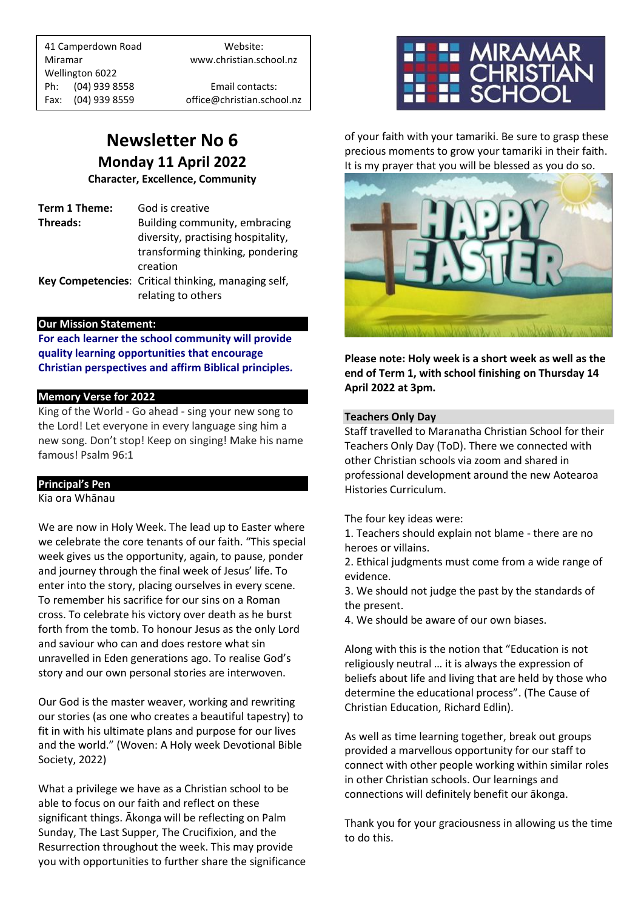41 Camperdown Road Website: Miramar www.christian.school.nz Wellington 6022 Ph: (04) 939 8558 Email contacts:

Fax: (04) 939 8559 office@christian.school.nz

## **Newsletter No 6 Monday 11 April 2022**

**Character, Excellence, Community**

**Term 1 Theme:** God is creative **Threads:** Building community, embracing diversity, practising hospitality, transforming thinking, pondering creation **Key Competencies**: Critical thinking, managing self, relating to others

#### **Our Mission Statement:**

**For each learner the school community will provide quality learning opportunities that encourage Christian perspectives and affirm Biblical principles***.*

#### **Memory Verse for 2022**

King of the World - Go ahead - sing your new song to the Lord! Let everyone in every language sing him a new song. Don't stop! Keep on singing! Make his name famous! Psalm 96:1

#### **Principal's Pen**

Kia ora Whānau

We are now in Holy Week. The lead up to Easter where we celebrate the core tenants of our faith. "This special week gives us the opportunity, again, to pause, ponder and journey through the final week of Jesus' life. To enter into the story, placing ourselves in every scene. To remember his sacrifice for our sins on a Roman cross. To celebrate his victory over death as he burst forth from the tomb. To honour Jesus as the only Lord and saviour who can and does restore what sin unravelled in Eden generations ago. To realise God's story and our own personal stories are interwoven.

Our God is the master weaver, working and rewriting our stories (as one who creates a beautiful tapestry) to fit in with his ultimate plans and purpose for our lives and the world." (Woven: A Holy week Devotional Bible Society, 2022)

What a privilege we have as a Christian school to be able to focus on our faith and reflect on these significant things. Ākonga will be reflecting on Palm Sunday, The Last Supper, The Crucifixion, and the Resurrection throughout the week. This may provide you with opportunities to further share the significance



of your faith with your tamariki. Be sure to grasp these precious moments to grow your tamariki in their faith. It is my prayer that you will be blessed as you do so.



**Please note: Holy week is a short week as well as the end of Term 1, with school finishing on Thursday 14 April 2022 at 3pm.** 

#### **Teachers Only Day**

Staff travelled to Maranatha Christian School for their Teachers Only Day (ToD). There we connected with other Christian schools via zoom and shared in professional development around the new Aotearoa Histories Curriculum.

The four key ideas were:

1. Teachers should explain not blame - there are no heroes or villains.

2. Ethical judgments must come from a wide range of evidence.

3. We should not judge the past by the standards of the present.

4. We should be aware of our own biases.

Along with this is the notion that "Education is not religiously neutral … it is always the expression of beliefs about life and living that are held by those who determine the educational process". (The Cause of Christian Education, Richard Edlin).

As well as time learning together, break out groups provided a marvellous opportunity for our staff to connect with other people working within similar roles in other Christian schools. Our learnings and connections will definitely benefit our ākonga.

Thank you for your graciousness in allowing us the time to do this.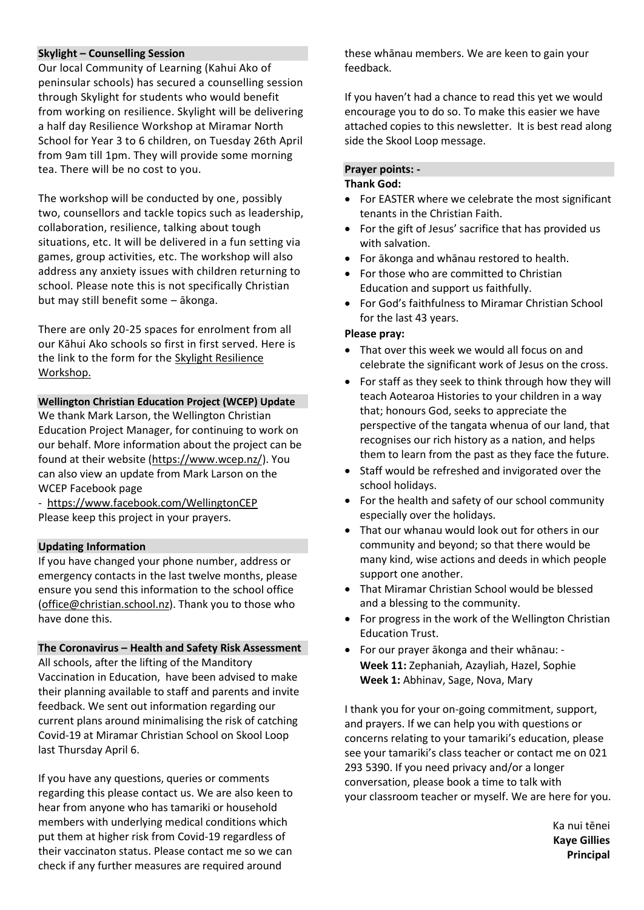#### **Skylight – Counselling Session**

Our local Community of Learning (Kahui Ako of peninsular schools) has secured a counselling session through Skylight for students who would benefit from working on resilience. Skylight will be delivering a half day Resilience Workshop at Miramar North School for Year 3 to 6 children, on Tuesday 26th April from 9am till 1pm. They will provide some morning tea. There will be no cost to you.

The workshop will be conducted by one, possibly two, counsellors and tackle topics such as leadership, collaboration, resilience, talking about tough situations, etc. It will be delivered in a fun setting via games, group activities, etc. The workshop will also address any anxiety issues with children returning to school. Please note this is not specifically Christian but may still benefit some – ākonga.

There are only 20-25 spaces for enrolment from all our Kāhui Ako schools so first in first served. Here is the link to the form for the [Skylight Resilience](https://docs.google.com/forms/d/1dTyZUZE0HuOZWoCa9fWby-rmyA1NKksPWowQbSYmuEI/edit)  [Workshop.](https://docs.google.com/forms/d/1dTyZUZE0HuOZWoCa9fWby-rmyA1NKksPWowQbSYmuEI/edit)

#### **Wellington Christian Education Project (WCEP) Update**

We thank Mark Larson, the Wellington Christian Education Project Manager, for continuing to work on our behalf. More information about the project can be found at their website [\(https://www.wcep.nz/\)](https://www.wcep.nz/). You can also view an update from Mark Larson on the WCEP Facebook page

- <https://www.facebook.com/WellingtonCEP> Please keep this project in your prayers.

#### **Updating Information**

If you have changed your phone number, address or emergency contacts in the last twelve months, please ensure you send this information to the school office [\(office@christian.school.nz\)](mailto:office@christian.school.nz). Thank you to those who have done this.

#### **The Coronavirus – Health and Safety Risk Assessment**

All schools, after the lifting of the Manditory Vaccination in Education, have been advised to make their planning available to staff and parents and invite feedback. We sent out information regarding our current plans around minimalising the risk of catching Covid-19 at Miramar Christian School on Skool Loop last Thursday April 6.

If you have any questions, queries or comments regarding this please contact us. We are also keen to hear from anyone who has tamariki or household members with underlying medical conditions which put them at higher risk from Covid-19 regardless of their vaccinaton status. Please contact me so we can check if any further measures are required around

these whānau members. We are keen to gain your feedback.

If you haven't had a chance to read this yet we would encourage you to do so. To make this easier we have attached copies to this newsletter. It is best read along side the Skool Loop message.

#### **Prayer points: -**

#### **Thank God:**

- For EASTER where we celebrate the most significant tenants in the Christian Faith.
- For the gift of Jesus' sacrifice that has provided us with salvation.
- For ākonga and whānau restored to health.
- For those who are committed to Christian Education and support us faithfully.
- For God's faithfulness to Miramar Christian School for the last 43 years.

#### **Please pray:**

- That over this week we would all focus on and celebrate the significant work of Jesus on the cross.
- For staff as they seek to think through how they will teach Aotearoa Histories to your children in a way that; honours God, seeks to appreciate the perspective of the tangata whenua of our land, that recognises our rich history as a nation, and helps them to learn from the past as they face the future.
- Staff would be refreshed and invigorated over the school holidays.
- For the health and safety of our school community especially over the holidays.
- That our whanau would look out for others in our community and beyond; so that there would be many kind, wise actions and deeds in which people support one another.
- That Miramar Christian School would be blessed and a blessing to the community.
- For progress in the work of the Wellington Christian Education Trust.
- For our prayer ākonga and their whānau: **Week 11:** Zephaniah, Azayliah, Hazel, Sophie **Week 1:** Abhinav, Sage, Nova, Mary

I thank you for your on-going commitment, support, and prayers. If we can help you with questions or concerns relating to your tamariki's education, please see your tamariki's class teacher or contact me on 021 293 5390. If you need privacy and/or a longer conversation, please book a time to talk with your classroom teacher or myself. We are here for you.

> Ka nui tēnei **Kaye Gillies Principal**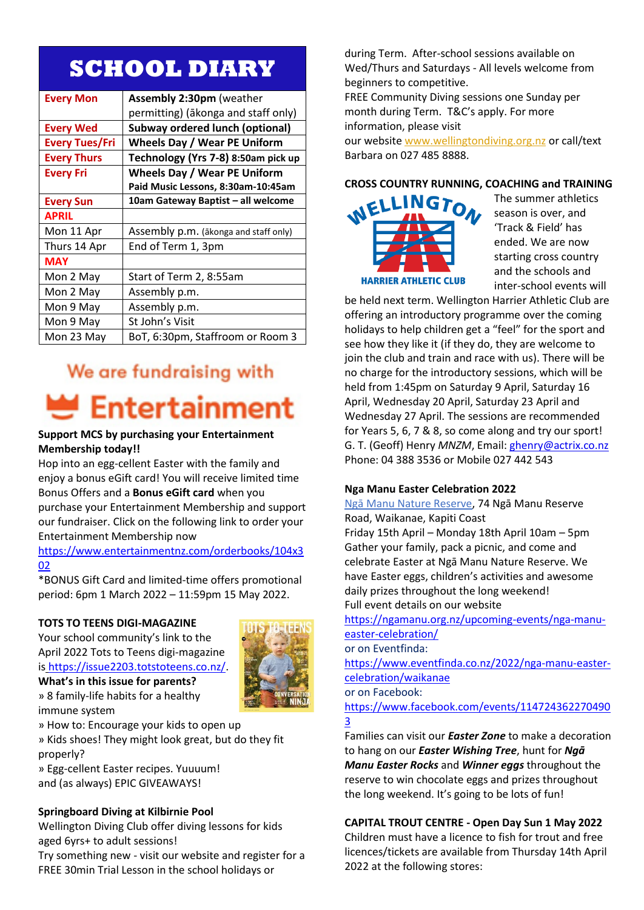## **SCHOOL DIARY**

| <b>Every Mon</b>      | <b>Assembly 2:30pm (weather</b>        |
|-----------------------|----------------------------------------|
|                       | permitting) (ākonga and staff only)    |
| <b>Every Wed</b>      | <b>Subway ordered lunch (optional)</b> |
| <b>Every Tues/Fri</b> | <b>Wheels Day / Wear PE Uniform</b>    |
| <b>Every Thurs</b>    | Technology (Yrs 7-8) 8:50am pick up    |
| <b>Every Fri</b>      | <b>Wheels Day / Wear PE Uniform</b>    |
|                       | Paid Music Lessons, 8:30am-10:45am     |
| <b>Every Sun</b>      | 10am Gateway Baptist - all welcome     |
| <b>APRIL</b>          |                                        |
| Mon 11 Apr            | Assembly p.m. (akonga and staff only)  |
| Thurs 14 Apr          | End of Term 1, 3pm                     |
| <b>MAY</b>            |                                        |
| Mon 2 May             | Start of Term 2, 8:55am                |
| Mon 2 May             | Assembly p.m.                          |
| Mon 9 May             | Assembly p.m.                          |
| Mon 9 May             | St John's Visit                        |
| Mon 23 May            | BoT, 6:30pm, Staffroom or Room 3       |

## We are fundraising with **Entertainment**

### **Support MCS by purchasing your Entertainment Membership today!!**

Hop into an egg-cellent Easter with the family and enjoy a bonus eGift card! You will receive limited time Bonus Offers and a **Bonus eGift card** when you purchase your Entertainment Membership and support our fundraiser. Click on the following link to order your Entertainment Membership now

[https://www.entertainmentnz.com/orderbooks/104x3](https://www.entertainmentnz.com/orderbooks/104x302) [02](https://www.entertainmentnz.com/orderbooks/104x302)

\*BONUS Gift Card and limited-time offers promotional period: 6pm 1 March 2022 – 11:59pm 15 May 2022.

#### **TOTS TO TEENS DIGI-MAGAZINE**

Your school community's link to the April 2022 Tots to Teens digi-magazine is [https://issue2203.totstoteens.co.nz/.](https://issue2203.totstoteens.co.nz/)



**What's in this issue for parents?** » 8 family-life habits for a healthy immune system

» How to: Encourage your kids to open up

» Kids shoes! They might look great, but do they fit properly?

» Egg-cellent Easter recipes. Yuuuum! and (as always) EPIC GIVEAWAYS!

#### **Springboard Diving at Kilbirnie Pool**

Wellington Diving Club offer diving lessons for kids aged 6yrs+ to adult sessions!

Try something new - visit our website and register for a FREE 30min Trial Lesson in the school holidays or

during Term. After-school sessions available on Wed/Thurs and Saturdays - All levels welcome from beginners to competitive.

FREE Community Diving sessions one Sunday per month during Term. T&C's apply. For more information, please visit

our website [www.wellingtondiving.org.nz](http://www.wellingtondiving.org.nz/) or call/text Barbara on 027 485 8888.



The summer athletics season is over, and 'Track & Field' has ended. We are now starting cross country and the schools and inter-school events will

be held next term. Wellington Harrier Athletic Club are offering an introductory programme over the coming holidays to help children get a "feel" for the sport and see how they like it (if they do, they are welcome to join the club and train and race with us). There will be no charge for the introductory sessions, which will be held from 1:45pm on Saturday 9 April, Saturday 16 April, Wednesday 20 April, Saturday 23 April and Wednesday 27 April. The sessions are recommended for Years 5, 6, 7 & 8, so come along and try our sport! G. T. (Geoff) Henry *MNZM*, Email: [ghenry@actrix.co.nz](mailto:ghenry@actrix.co.nz) Phone: 04 388 3536 or Mobile 027 442 543

#### **Nga Manu Easter Celebration 2022**

[Ngā Manu Nature Reserve,](https://www.eventfinda.co.nz/venue/nga-manu-nature-reserve-kapiti-coast-waikanae2) 74 Ngā Manu Reserve Road, Waikanae, Kapiti Coast Friday 15th April – Monday 18th April 10am – 5pm Gather your family, pack a picnic, and come and celebrate Easter at Ngā Manu Nature Reserve. We have Easter eggs, children's activities and awesome daily prizes throughout the long weekend! Full event details on our website

[https://ngamanu.org.nz/upcoming-events/nga-manu](https://ngamanu.org.nz/upcoming-events/nga-manu-easter-celebration/)[easter-celebration/](https://ngamanu.org.nz/upcoming-events/nga-manu-easter-celebration/)

or on Eventfinda:

[https://www.eventfinda.co.nz/2022/nga-manu-easter](https://www.eventfinda.co.nz/2022/nga-manu-easter-celebration/waikanae)[celebration/waikanae](https://www.eventfinda.co.nz/2022/nga-manu-easter-celebration/waikanae)

or on Facebook:

[https://www.facebook.com/events/114724362270490](https://www.facebook.com/events/1147243622704903) [3](https://www.facebook.com/events/1147243622704903)

Families can visit our *Easter Zone* to make a decoration to hang on our *Easter Wishing Tree*, hunt for *Ngā Manu Easter Rocks* and *Winner eggs* throughout the reserve to win chocolate eggs and prizes throughout the long weekend. It's going to be lots of fun!

#### **CAPITAL TROUT CENTRE - Open Day Sun 1 May 2022**

Children must have a licence to fish for trout and free licences/tickets are available from Thursday 14th April 2022 at the following stores: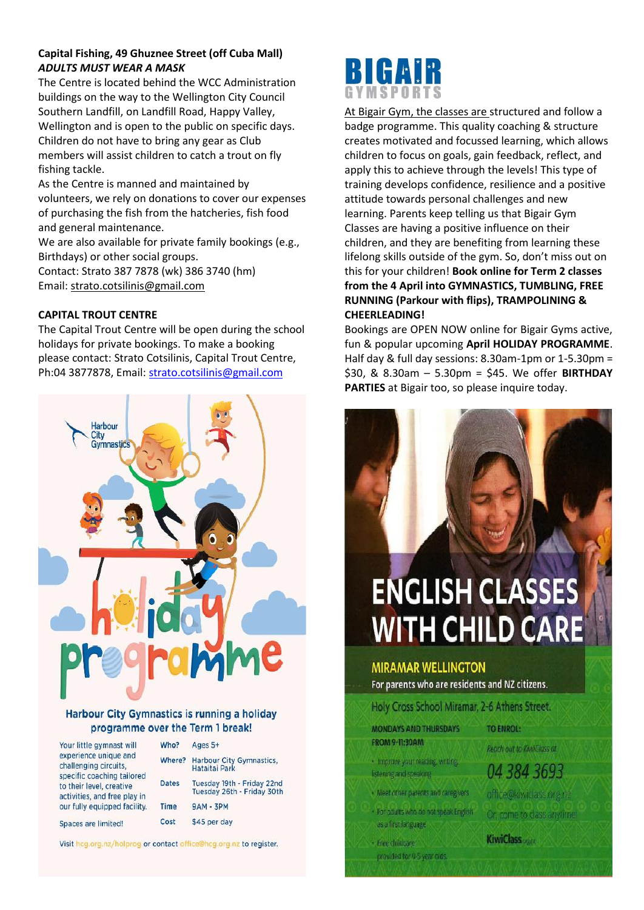#### **Capital Fishing, 49 Ghuznee Street (off Cuba Mall)** *ADULTS MUST WEAR A MASK*

The Centre is located behind the WCC Administration buildings on the way to the Wellington City Council Southern Landfill, on Landfill Road, Happy Valley, Wellington and is open to the public on specific days. Children do not have to bring any gear as Club members will assist children to catch a trout on fly fishing tackle.

As the Centre is manned and maintained by volunteers, we rely on donations to cover our expenses of purchasing the fish from the hatcheries, fish food and general maintenance.

We are also available for private family bookings (e.g., Birthdays) or other social groups. Contact: Strato 387 7878 (wk) 386 3740 (hm) Email: [strato.cotsilinis@gmail.com](mailto:strato.cotsilinis@gmail.com)

#### **CAPITAL TROUT CENTRE**

The Capital Trout Centre will be open during the school holidays for private bookings. To make a booking please contact: Strato Cotsilinis, Capital Trout Centre, Ph:04 3877878, Email[: strato.cotsilinis@gmail.com](mailto:strato.cotsilinis@gmail.com)



#### Harbour City Gymnastics is running a holiday programme over the Term 1 break!

| Your little gymnast will     |
|------------------------------|
| experience unique and        |
| challenging circuits.        |
| specific coaching tailored   |
| to their level, creative     |
| activities, and free play in |
| our fully equipped facility. |
|                              |

Spaces are limited!

| Who?         | Ages 5+                                                  |
|--------------|----------------------------------------------------------|
| Where?       | <b>Harbour City Gymnastics,</b><br>Hataitai Park         |
| <b>Dates</b> | Tuesday 19th - Friday 22nd<br>Tuesday 26th - Friday 30th |
| <b>Time</b>  | $9AM - 3PM$                                              |
| Cost         | \$45 per day                                             |

Visit hog.org.nz/holprog or contact office@hog.org.nz to register.



At Bigair Gym, the classes are structured and follow a badge programme. This quality coaching & structure creates motivated and focussed learning, which allows children to focus on goals, gain feedback, reflect, and apply this to achieve through the levels! This type of training develops confidence, resilience and a positive attitude towards personal challenges and new learning. Parents keep telling us that Bigair Gym Classes are having a positive influence on their children, and they are benefiting from learning these lifelong skills outside of the gym. So, don't miss out on this for your children! **Book online for Term 2 classes from the 4 April into GYMNASTICS, TUMBLING, FREE RUNNING (Parkour with flips), TRAMPOLINING & CHEERLEADING!**

Bookings are OPEN NOW online for Bigair Gyms active, fun & popular upcoming **April HOLIDAY PROGRAMME**. Half day & full day sessions: 8.30am-1pm or 1-5.30pm = \$30, & 8.30am – 5.30pm = \$45. We offer **BIRTHDAY PARTIES** at Bigair too, so please inquire today.

# **ENGLISH CLASSES WITH CHILD CARE**

#### **MIRAMAR WELLINGTON**

For parents who are residents and NZ citizens.

Holy Cross School Miramar, 2-6 Athens Street.

- **MONDAYS AND THURSDAYS FROM 9-11:30AM**
- · Improve your reading, writing,
- listening and speaking
- · Meet other parents and caregivers
- . For adults who do not speak English as a first language.

provided for 0-5 year olds

- Free childcare

**TO ENROL:** 

Reach aut to KiwiClass at

04 384 3693

office@kiwiclass.org.fz Or, come to class anytime.

**KiwiClass**